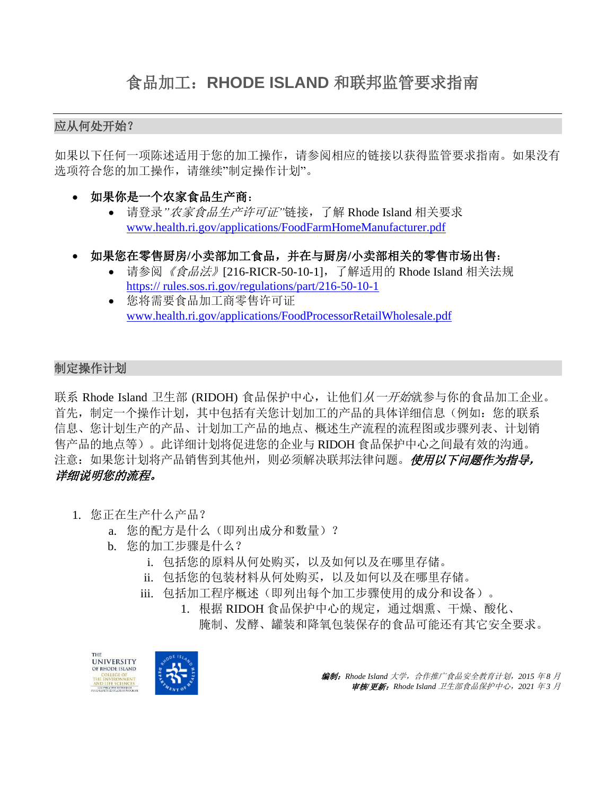### 应从何处开始?

如果以下任何一项陈述适用于您的加工操作,请参阅相应的链接以获得监管要求指南。如果没有 选项符合您的加工操作,请继续"制定操作计划"。

- 如果你是一个农家食品生产商:
	- 请登录*"*农家食品生产许可证*"*链接,了解 Rhode Island 相关要求 [www.health.ri.gov/applications/FoodFarmHomeManufacturer.pdf](http://www.health.ri.gov/applications/FoodFarmHomeManufacturer.pdf)
- 如果您在零售厨房**/**小卖部加工食品,并在与厨房**/**小卖部相关的零售市场出售:
	- 请参阅 《*食品法》*[216-RICR-50-10-11, 了解适用的 Rhode Island 相关法规 https:// [rules.sos.ri.gov/regulations/part/216-50-10-1](http://sos.ri.gov/documents/archives/regdocs/released/pdf/DOH/6992.pdf)
	- 您将需要食品加工商零售许可证 [www.health.ri.gov/applications/FoodProcessorRetailWholesale.pdf](https://www.health.ri.gov/applications/FoodProcessorRetailWholesale.pdf)

### 制定操作计划

联系 Rhode Island 卫生部 (RIDOH) 食品保护中心, 让他们从一开始就参与你的食品加工企业。 首先,制定一个操作计划,其中包括有关您计划加工的产品的具体详细信息(例如:您的联系 信息、您计划生产的产品、计划加工产品的地点、概述生产流程的流程图或步骤列表、计划销 售产品的地点等)。此详细计划将促进您的企业与 RIDOH 食品保护中心之间最有效的沟通。 注意:如果您计划将产品销售到其他州,则必须解决联邦法律问题。使用以下问题作为指导, 详细说明您的流程。

- 1. 您正在生产什么产品?
	- a. 您的配方是什么(即列出成分和数量)?
	- b. 您的加工步骤是什么?
		- i. 包括您的原料从何处购买,以及如何以及在哪里存储。
		- ii. 包括您的包装材料从何处购买,以及如何以及在哪里存储。
		- iii. 包括加工程序概述(即列出每个加工步骤使用的成分和设备)。
			- 1. 根据 RIDOH 食品保护中心的规定,通过烟熏、干燥、酸化、 腌制、发酵、罐装和降氧包装保存的食品可能还有其它安全要求。



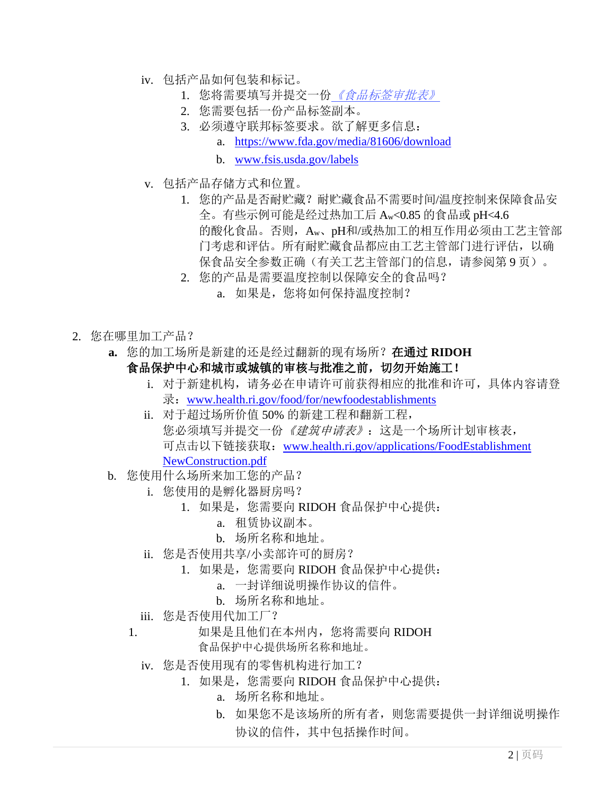- iv. 包括产品如何包装和标记。
	- 1. 您将需要填写并提交一份[《食品标签审批表》](https://www.health.ri.gov/forms/approval/FoodLabel.pdf)
	- 2. 您需要包括一份产品标签副本。
	- 3. 必须遵守联邦标签要求。欲了解更多信息:
		- a. [https://www.fda.gov/media/81606/download](http://www.fda.gov/Food/GuidanceRegulation/GuidanceDocumentsRegulatoryInformation/LabelingNutrition/ucm2006828.htm)
		- b. [www.fsis.usda.gov/labels](http://www.fsis.usda.gov/labels)
- v. 包括产品存储方式和位置。
	- 1. 您的产品是否耐贮藏?耐贮藏食品不需要时间/温度控制来保障食品安 全。有些示例可能是经过热加工后 Aw<0.85 的食品或 pH<4.6 的酸化食品。否则, Aw、pH和/或热加工的相互作用必须由工艺主管部 门考虑和评估。所有耐贮藏食品都应由工艺主管部门进行评估,以确 保食品安全参数正确(有关工艺主管部门的信息,请参阅第9页)。
	- 2. 您的产品是需要温度控制以保障安全的食品吗?
		- a. 如果是,您将如何保持温度控制?
- 2. 您在哪里加工产品?
	- **a.** 您的加工场所是新建的还是经过翻新的现有场所?在通过 **RIDOH**  食品保护中心和城市或城镇的审核与批准之前,切勿开始施工!
		- i. 对于新建机构,请务必在申请许可前获得相应的批准和许可,具体内容请登 录: [www.health.ri.gov/food/for/newfoodestablishments](https://health.ri.gov/food/for/newfoodestablishments/)
		- ii. 对于超过场所价值 50% 的新建工程和翻新工程, 您必须填写并提交一份*《建筑申请表》*:这是一个场所计划审核表, 可点击以下链接获取:[www.health.ri.gov/applications/FoodEstablishment](http://www.health.ri.gov/applications/FoodEstablishment%0bNewConstruction.pdf) [NewConstruction.pdf](http://www.health.ri.gov/applications/FoodEstablishment%0bNewConstruction.pdf)
	- b. 您使用什么场所来加工您的产品?
		- i. 您使用的是孵化器厨房吗?
			- 1. 如果是,您需要向 RIDOH 食品保护中心提供:
				- a. 租赁协议副本。
				- b. 场所名称和地址。
		- ii. 您是否使用共享/小卖部许可的厨房?
			- 1. 如果是,您需要向 RIDOH 食品保护中心提供:
				- a. 一封详细说明操作协议的信件。
				- b. 场所名称和地址。
		- iii. 您是否使用代加工厂?
		- 1. 如果是且他们在本州内, 您将需要向 RIDOH

食品保护中心提供场所名称和地址。

- iv. 您是否使用现有的零售机构进行加工?
	- 1. 如果是,您需要向 RIDOH 食品保护中心提供:
		- a. 场所名称和地址。
		- b. 如果您不是该场所的所有者,则您需要提供一封详细说明操作 协议的信件,其中包括操作时间。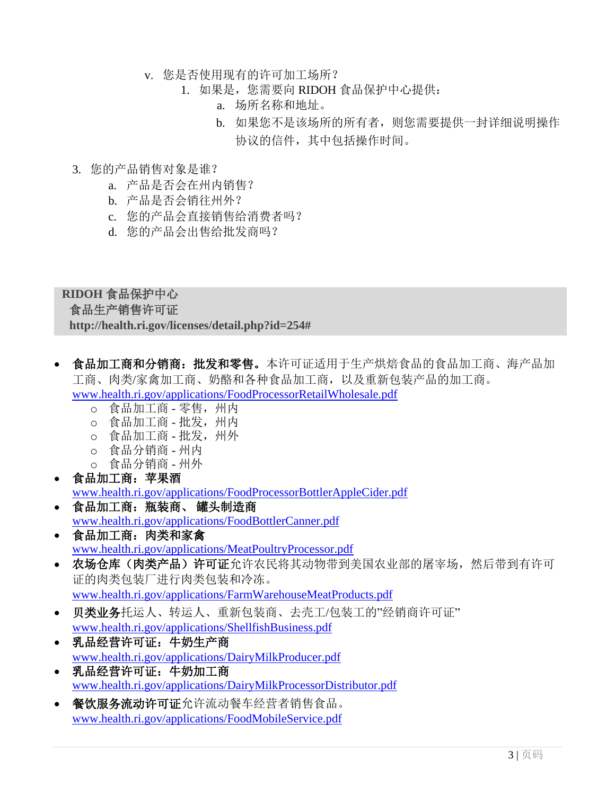- v. 您是否使用现有的许可加工场所?
	- 1. 如果是,您需要向 RIDOH 食品保护中心提供:
		- a. 场所名称和地址。
		- b. 如果您不是该场所的所有者,则您需要提供一封详细说明操作 协议的信件,其中包括操作时间。
- 3. 您的产品销售对象是谁?
	- a. 产品是否会在州内销售?
	- b. 产品是否会销往州外?
	- c. 您的产品会直接销售给消费者吗?
	- d. 您的产品会出售给批发商吗?

#### **RIDOH** 食品保护中心

#### 食品生产销售许可证

**[http://health.ri.gov/licenses/detail.php?id=254#](http://health.ri.gov/licenses/detail.php?id=254)**

- 食品加工商和分销商:批发和零售。本许可证适用于生产烘焙食品的食品加工商、海产品加 工商、肉类/家禽加工商、奶酪和各种食品加工商,以及重新包装产品的加工商。 [www.health.ri.gov/applications/FoodProcessorRetailWholesale.pdf](https://www.health.ri.gov/applications/FoodProcessorRetailWholesale.pdf)
	- o 食品加工商 零售,州内
	- o 食品加工商 批发,州内
	- o 食品加工商 批发,州外
	- o 食品分销商 州内
	- o 食品分销商 州外
- 食品加工商:苹果酒 [www.health.ri.gov/applications/FoodProcessorBottlerAppleCider.pdf](https://www.health.ri.gov/applications/FoodProcessorBottlerAppleCider.pdf)
- 食品加工商:瓶装商、 罐头制造商 [www.health.ri.gov/applications/FoodBottlerCanner.pdf](https://www.health.ri.gov/applications/FoodBottlerCanner.pdf)
- 食品加工商:肉类和家禽 [www.health.ri.gov/applications/MeatPoultryProcessor.pdf](https://www.health.ri.gov/applications/MeatPoultryProcessor.pdf)
- 农场仓库(肉类产品)许可证允许农民将其动物带到美国农业部的屠宰场,然后带到有许可 证的肉类包装厂进行肉类包装和冷冻。 [www.health.ri.gov/applications/FarmWarehouseMeatProducts.pdf](https://www.health.ri.gov/applications/FarmWarehouseMeatProducts.pdf)
- 贝类业务托运人、转运人、重新包装商、去壳工/包装工的"经销商许可证" [www.health.ri.gov/applications/ShellfishBusiness.pdf](http://www.health.ri.gov/applications/ShellfishBusiness.pdf)
- 乳品经营许可证:牛奶生产商 [www.health.ri.gov/applications/DairyMilkProducer.pdf](http://www.health.ri.gov/applications/DairyMilkProducer.pdf)
- 乳品经营许可证:牛奶加工商 [www.health.ri.gov/applications/DairyMilkProcessorDistributor.pdf](https://www.health.ri.gov/applications/DairyMilkProcessorDistributor.pdf)
- 餐饮服务流动许可证允许流动餐车经营者销售食品。 [www.health.ri.gov/applications/FoodMobileService.pdf](http://www.health.ri.gov/applications/FoodMobileService.pdf)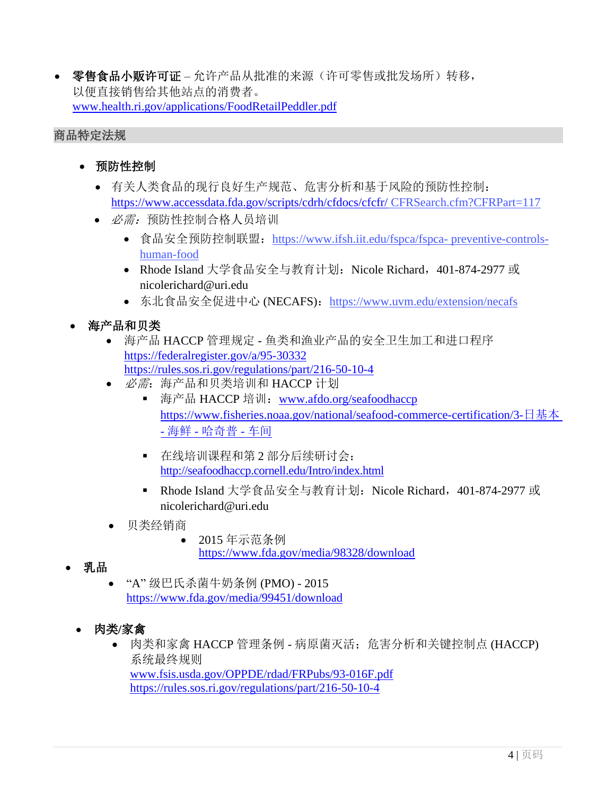• 零售食品小贩许可证 – 允许产品从批准的来源(许可零售或批发场所)转移, 以便直接销售给其他站点的消费者。 [www.health.ri.gov/applications/FoodRetailPeddler.pdf](http://www.health.ri.gov/applications/FoodRetailPeddler.pdf)

#### 商品特定法规

- 预防性控制
	- 有关人类食品的现行良好生产规范、危害分析和基于风险的预防性控制: <https://www.accessdata.fda.gov/scripts/cdrh/cfdocs/cfcfr/> CFRSearch.cfm?CFRPart=117
	- 必*需:* 预防性控制合格人员培训
		- 食品安全预防控制联盟: [https://www.ifsh.iit.edu/fspca/fspca-](https://www.ifsh.iit.edu/fspca/fspca-preventive-controls-human-food) preventive-control[s](https://www.ifsh.iit.edu/fspca/fspca-preventive-controls-human-food)[human-food](https://www.ifsh.iit.edu/fspca/fspca-preventive-controls-human-food)
		- Rhode Island 大学食品安全与教育计划: Nicole Richard, 401-874-2977 或 [nicolerichard@uri.edu](mailto:nicolerichard@uri.edu)
		- 东北食品安全促进中心 (NECAFS): <https://www.uvm.edu/extension/necafs>
- 海产品和贝类
	- 海产品 HACCP [管理规定](http://www.afdo.org/seafoodhaccp) [鱼](http://www.afdo.org/seafoodhaccp)类和渔业产品的安全卫生加工和进口程序 https://federalregister.gov/a/95-30332 https://rules.sos.ri.gov/regulations/part/216-50-10-4
	- 必需: 海产品和贝类培训和 HACCP 计划
		- 海产品 HACCP 培训: [www.afdo.org/seafoodhaccp](http://www.afdo.org/seafoodhaccp) [https://www.fisheries.noaa.gov/national/seafood-commerce-certification/3-](http://www.fisheries.noaa.gov/national/seafood-commerce-certification/3-)日基本 - 海鲜 - 哈奇普 - 车间
		- 在线培训课程和第 2 部分后续研讨会: <http://seafoodhaccp.cornell.edu/Intro/index.html>
		- [Rhode Island](https://www.fda.gov/media/99451/download) [大学食品安全与教](https://www.fda.gov/media/99451/download)育计划: Nicole Richard, 401-874-2977 或 [nicolerichard@uri.edu](mailto:nicolerichard@uri.edu)
	- 贝类经销商
		- 2015 年示范条例 [https://www.fda.gov/media/98328/download](http://www.fda.gov/media/98328/download)
- 乳品
	- "A" 级巴氏杀菌牛奶条例 (PMO) 2015 [https://www.fda.gov/media/99451/download](http://www.fda.gov/media/99451/download)
	- 肉类**/**家禽
		- 肉类和家禽 HACCP 管理条例 病原菌灭活;危害分析和关键控制点 (HACCP) 系统最终规则 [www.fsis.usda.gov/OPPDE/rdad/FRPubs/93-016F.pdf](http://www.fsis.usda.gov/OPPDE/rdad/FRPubs/93-016F.pdf) https://rules.sos.ri.gov/regulations/part/216-50-10-4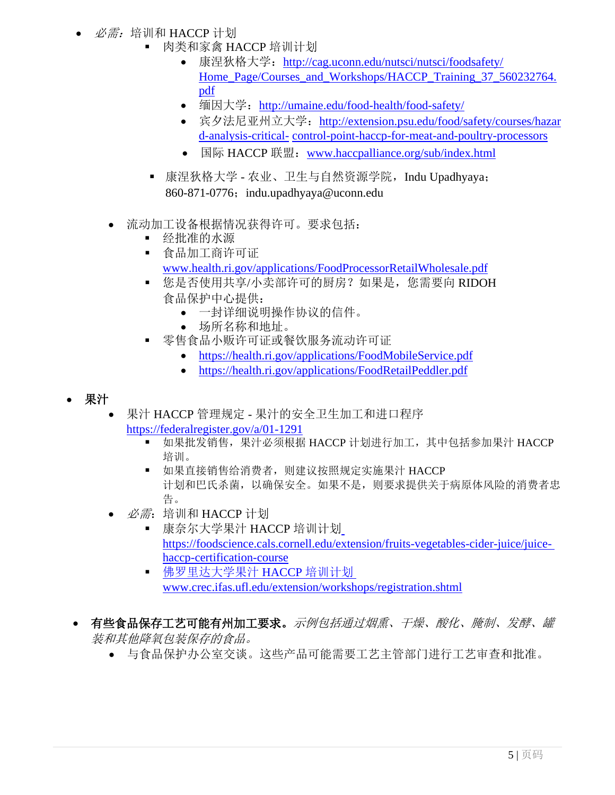- 必需: 培训和 HACCP 计划
	- 肉类和家禽 HACCP 培训计划
		- 康涅狄格大学: <http://cag.uconn.edu/nutsci/nutsci/foodsafety/> [Home\\_Page/Courses\\_and\\_Workshops/HACCP\\_Training\\_37\\_560232764.](http://www.cag.uconn.edu/nutsci/nutsci/foodsafety/Food_Processing_landing_page/Processing_Meat_%26_Poultry/HACCP.php) [pdf](http://www.cag.uconn.edu/nutsci/nutsci/foodsafety/Food_Processing_landing_page/Processing_Meat_%26_Poultry/HACCP.php)
		- [缅因大学:](http://www.cag.uconn.edu/nutsci/nutsci/foodsafety/Food_Processing_landing_page/Processing_Meat_%26_Poultry/HACCP.php) <http://umaine.edu/food-health/food-safety/>
		- 宾夕法尼亚州立大学: [http://extension.psu.edu/food/safety/courses/hazar](http://extension.psu.edu/food/safety/courses/hazard-analysis-critical-) [d-analysis-critical-](http://extension.psu.edu/food/safety/courses/hazard-analysis-critical-) [control-point-haccp-for-meat-and-poultry-processors](http://umaine.edu/food-health/food-safety/)
		- 国际 HACCP 联盟: [www.haccpalliance.org/sub/index.html](http://www.haccpalliance.org/sub/index.html)
	- 康涅狄格大学 [农业、卫生与自然资源学院,](http://extension.psu.edu/food/safety/courses/hazard-analysis-critical-control-point-haccp-for-meat-and-poultry-processors)Indu Upadhyaya; 860-871-0776; [indu.upadhyaya@uconn.edu](mailto:indu.upadhyaya@uconn.edu)
	- 流动加工设备根据情况获得许可。要求包括:
		- 经批准的水源
		- 食品加工商许可证 [www.health.ri.gov/applications/FoodProcessorRetailWholesale.pdf](https://www.health.ri.gov/applications/FoodProcessorRetailWholesale.pdf)
		- 您是否使用共享/小卖部许可的厨房?如果是, 您需要向 RIDOH [食品保护中心提供:](http://www.health.ri.gov/applications/FoodMobileService.pdf)
			- [一封详细说明操作协议的信件。](http://www.health.ri.gov/applications/FoodRetailPeddler.pdf)
			- 场所名称和地址。
		- 零售食品小贩许可证或餐饮服务流动许可证
			- <https://health.ri.gov/applications/FoodMobileService.pdf>
			- <https://health.ri.gov/applications/FoodRetailPeddler.pdf>

### • 果汁

- 果汁 HACCP 管理规定 果汁的安全卫生加工和进口程序 https://federalregister.gov/a/01-1291
	- 如果批发销售,果汁必须根据 HACCP 计划讲行加工, 其中包括参加果汁 HACCP 培训。
	- 如果直接销售给消费者, 则建议按照规定实施果汁 HACCP 计划和巴氏杀菌,以确[保安全。如果不是,则要求提供关于病原体风险的消](https://foodscience.cals.cornell.edu/extension/fruits-vegetables-cider-juice/juice-haccp-certification-course)费者忠 告。
- $\mathscr{B}$  = 培训和 HACCP 计划
	- [康奈尔大学果汁](http://www.crec.ifas.ufl.edu/extension/workshops/registration.shtml) HACCP 培训计划 https://foodscience.cals.cornell.edu/extension/fruits-vegetables-cider-juice/juicehaccp-certification-course
	- 佛罗里达大学果汁 HACCP 培训计划 [www.crec.ifas.ufl.edu/extension/workshops/registration.shtml](http://www.crec.ifas.ufl.edu/extension/workshops/registration.shtml)
- 有些食品保存工艺可能有州加工要求。示例包括通过烟熏、干燥、酸化、腌制、发酵、罐 装和其他降氧包装保存的食品。
	- 与食品保护办公室交谈。这些产品可能需要工艺主管部门进行工艺审查和批准。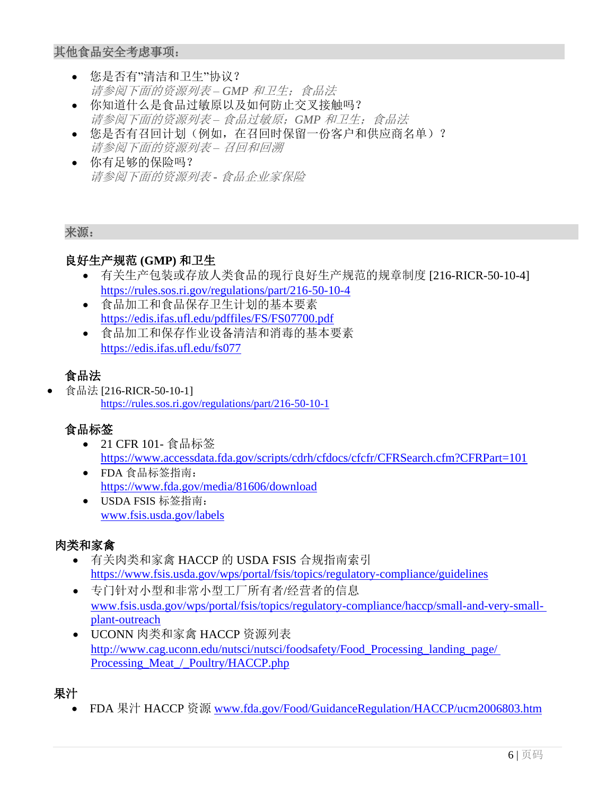### 其他食品安全考虑事项:

- 您是否有"清洁和卫生"协议? 请参阅下面的资源列表 *– GMP* 和卫生;食品法
- 你知道什么是食品过敏原以及如何防止交叉接触吗? 请参阅下面的资源列表 *–* 食品过敏原;*GMP* 和卫生;食品法
- 您是否有召回计划(例如,在召回时保留一份客户和供应商名单)? 请参阅下面的资源列表 *–* 召回和回溯
- 你有足够的保险吗? 请参阅下面的资源列表 **-** 食品企业家保险

#### 来源:

## 良好生产规范 **(GMP)** 和卫生

- 有关生产包装或存放人类食品的现行良好生产规范的规章制度 [216-RICR-50-10-4] https://rules.sos.ri.gov/regulations/part/216-50-10-4
- 食品加工和食品保存卫生计划的基本要素 <https://edis.ifas.ufl.edu/pdffiles/FS/FS07700.pdf>
- 食品加工和保存作业设备清洁和消毒的基本要素 <https://edis.ifas.ufl.edu/fs077>

# 食品法

• 食品法 [216-RICR-50-10-1] https://rules.sos.ri.gov/regulations/part/216-50-10-1

## 食[品标签](https://edis.ifas.ufl.edu/fs077)

- 21 CFR 101- 食品标签 <https://www.accessdata.fda.gov/scripts/cdrh/cfdocs/cfcfr/CFRSearch.cfm?CFRPart=101>
- FDA 食品标签指南: <https://www.fda.gov/media/81606/download>
- USDA FSIS 标签指南: [www.fsis.usda.gov/labels](http://www.fsis.usda.gov/labels)

## 肉类和家禽

- 有关肉类和家禽 HACCP 的 USDA FSIS 合规指南索引 <https://www.fsis.usda.gov/wps/portal/fsis/topics/regulatory-compliance/guidelines>
- 专门针对小型和非常小型工厂所有者/经营者的信息 [www.fsis.usda.gov/wps/portal/fsis/topics/regulatory-compliance/haccp/small-and-very-small](http://www.fsis.usda.gov/wps/portal/fsis/topics/regulatory-compliance/haccp/small-and-very-small-)plant-outreach
- UCONN 肉类和家禽 HACCP 资源列表 http://www.cag.uconn.edu/nutsci/nutsci/foodsafety/Food Processing landing page/ [Processing\\_Meat\\_/\\_Poultry/HACCP.php](http://www.cag.uconn.edu/nutsci/nutsci/foodsafety/Food_Processing_landing_page/Processing_Meat_%26_Poultry/HACCP.php)

## 果汁

• FDA 果汁 HACCP 资源 [www.fda.gov/Food/GuidanceRegulation/HACCP/ucm2006803.htm](http://www.fda.gov/Food/GuidanceRegulation/HACCP/ucm2006803.htm)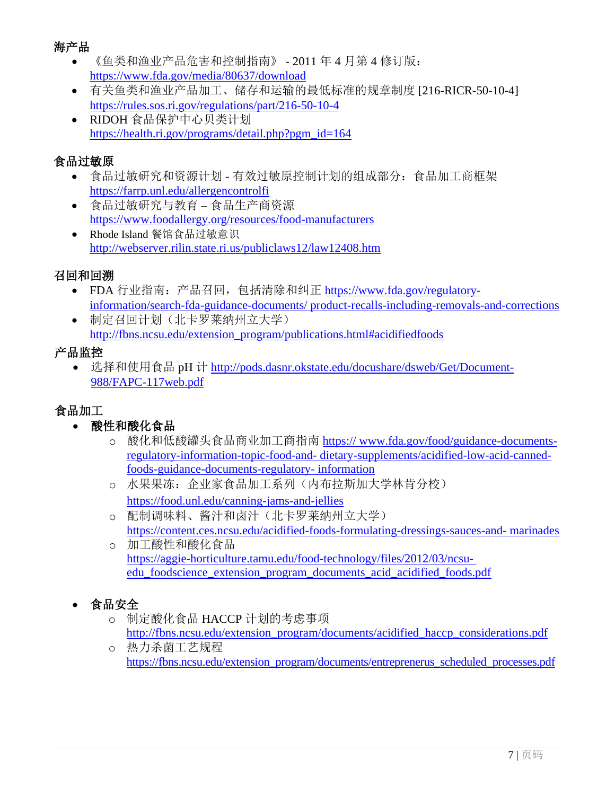## [海产品](http://www.fsis.usda.gov/wps/portal/fsis/topics/regulatory-compliance/haccp/small-and-very-small-plant-outreach)

- 《鱼类和渔业产品危害和控制指南》 2011 年 4 月第 4 修订版: <https://www.fda.gov/media/80637/download>
- 有关鱼类和渔业产品加工、储存和运输的最低标准[的规章制度](http://www.cag.uconn.edu/nutsci/nutsci/foodsafety/Food_Processing_landing_page/Processing_Meat_%26_Poultry/HACCP.php) [216-RICR-50-10-4] https://rules.sos.ri.gov/regulations/part/216-50-10-4
- RIDOH 食品保护中心贝类计划 [https://health.ri.gov/programs/detail.php?pgm\\_id=164](https://health.ri.gov/programs/detail.php?pgm_id=164)

## 食品过敏原

- 食品过敏研究和资源计划 有效过敏原控制计划的组成部分:食品加工商框架 https://farrp.unl.edu/allergencontrolfi
- 食品过敏研究与教育 食品生产商资源 <https://www.foodallergy.org/resources/food-manufacturers>
- Rhode Island 餐馆食品过敏意识 <http://webserver.rilin.state.ri.us/publiclaws12/law12408.htm>

## 召回和回溯

- FDA 行业指南:产品召回,包括清除和纠正 [https://www.fda.gov/regulatory](https://www.fda.gov/regulatory-information/search-fda-guidance-documents/product-recalls-including-removals-and-corrections)[information/search-fda-guidance-documents/ product-recalls-including-removals-and-corrections](https://www.fda.gov/regulatory-information/search-fda-guidance-documents/product-recalls-including-removals-and-corrections)
- [制定召回计划\(北卡罗莱纳州](https://farrp.unl.edu/allergencontrolfi)立大学) [http://fbns.ncsu.edu/extension\\_program/publications.html#acidifiedfoods](http://www.foodallergy.org/resources/food-manufacturers)

## 产品监控

• 选择和使用食品 pH 计 [http://pods.dasnr.okstate.edu/docushare/dsweb/Get/Document-](http://pods.dasnr.okstate.edu/docushare/dsweb/Get/Document-988/FAPC-117web.pdf)[988/FAPC-117web.pdf](http://pods.dasnr.okstate.edu/docushare/dsweb/Get/Document-988/FAPC-117web.pdf)

## 食品加工

- 酸性和酸化食品
	- o 酸化和低酸罐头食品商业加工商指南 [https:// www.fda.gov/food/guidance-documents](https://www.fda.gov/food/guidance-documents-regulatory-information-topic-food-and-dietary-supplements/acidified-low-acid-canned-foods-guidance-documents-regulatory-information)regulatory-information-topic-food-and- [dietary-supplements/acidified-low-acid-canned](https://www.fda.gov/food/guidance-documents-regulatory-information-topic-food-and-dietary-supplements/acidified-low-acid-canned-foods-guidance-documents-regulatory-information)[foods-guidance-documents-regulatory-](https://www.fda.gov/food/guidance-documents-regulatory-information-topic-food-and-dietary-supplements/acidified-low-acid-canned-foods-guidance-documents-regulatory-information) information
	- o 水果果冻:企业家食品加工系列(内布拉斯加大学林肯分校) <https://food.unl.edu/canning-jams-and-jellies>
	- o 配制调味料、酱汁和卤汁(北卡罗莱纳州立大学) [https://content.ces.ncsu.edu/acidified-foods-formulating-dressings-sauces-and-](https://content.ces.ncsu.edu/acidified-foods-formulating-dressings-sauces-and-%20marinades) marinades o 加工酸性和酸化食品
	- [https://aggie-horticulture.tamu.edu/food-technology/files/2012/03/ncsu](https://aggie-horticulture.tamu.edu/food-technology/files/2012/03/ncsu-%20edu_foodscience_extension_program_documents_acid_acidified_foods.pdf)[edu\\_foodscience\\_extension\\_program\\_documents\\_acid\\_acidified\\_foods.pdf](https://aggie-horticulture.tamu.edu/food-technology/files/2012/03/ncsu-%20edu_foodscience_extension_program_documents_acid_acidified_foods.pdf)

# • 食品安全

- o 制定酸化食品 HACCP [计划的考虑事项](http://ianrpubs.unl.edu/live/g1604/build/g1604.pdf) [http://fbns.ncsu.edu/extension\\_program/documents/acidified\\_haccp\\_considerations.pdf](http://fbns.ncsu.edu/extension_program/documents/acidified_haccp_considerations.pdf)
- o [热力杀菌工艺规程](http://fbns.ncsu.edu/extension_program/documents/acidified_formulating_dressings.pdf) https://fbns.ncsu.edu/extension\_program/documents[/entreprenerus\\_scheduled\\_processes.pdf](http://aggie-horticulture.tamu.edu/food-technology/files/2012/03/ncsu-edu_foodscience_extension_program_documents_acid_acidified_foods.pdf)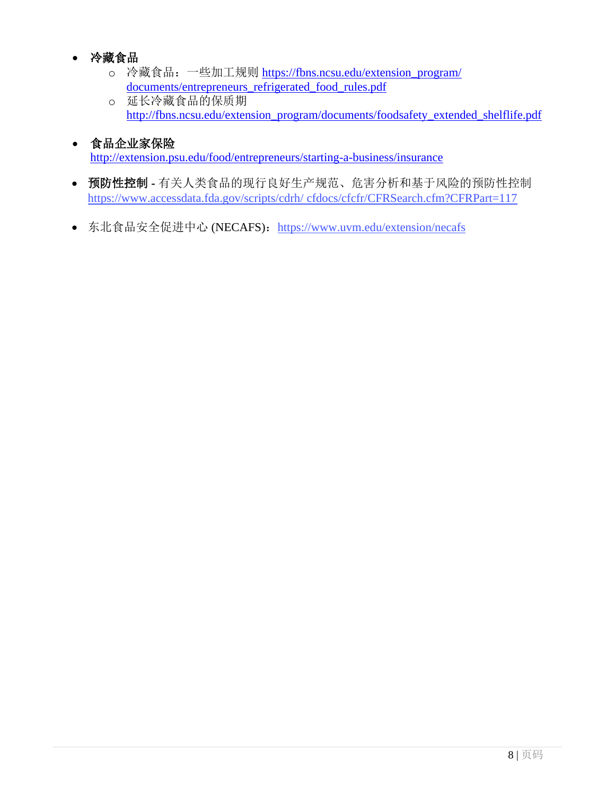## • 冷藏食品

- o 冷藏食品: 一些加工规则 https://fbns.ncsu.edu/extension\_program/ documents[/entrepreneurs\\_refrigerated\\_food\\_rules.pdf](http://fbns.ncsu.edu/extension_program/documents/acidified_haccp_considerations.pdf)
- o 延长冷藏食品的保质期 [http://fbns.ncsu.edu/extension\\_program/documents/foodsafety\\_extended\\_shelflife.pdf](http://fbns.ncsu.edu/extension_program/documents/entreprenerus_scheduled_processes.pdf)
- 食品企业家保险 <http://extension.psu.edu/food/entrepreneurs/starting-a-business/insurance>
- 预防性控制 **-** 有关人类食品的现行良好生产规范、危害分析和基于风险的预防性控制 [https://www.accessdata.fda.gov/scripts/cdrh/](http://www.accessdata.fda.gov/scripts/cdrh/) cfdocs/cfcfr/CFRSearch.cfm?CFRPart=117
- 东北食品安全促进中心 (NECAFS): <https://www.uvm.edu/extension/necafs>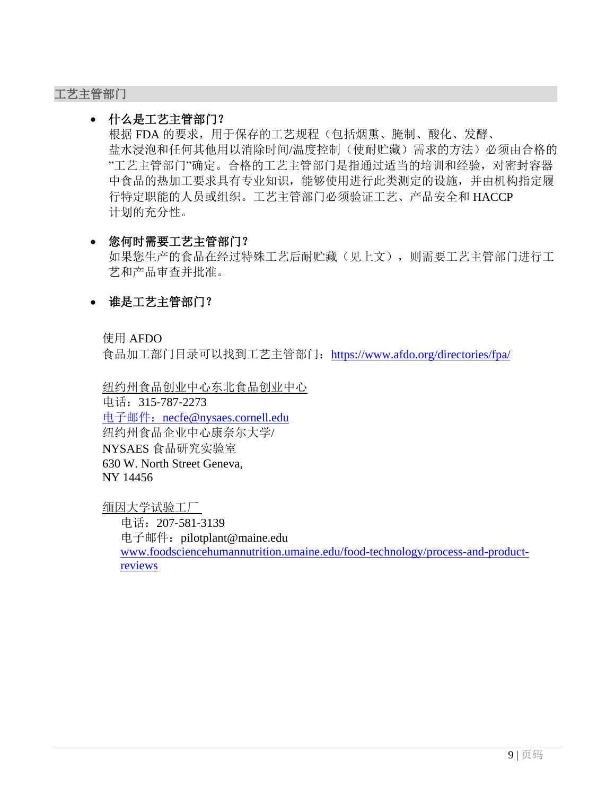#### 工艺主管部门

#### • 什么是工艺主管部门?

根据 FDA 的要求,用于保存的工艺规程(包括烟熏、腌制、酸化、发酵、 盐水浸泡和任何其他用以消除时间/温度控制(使耐贮藏)需求的方法)必须由合格的 "工艺主管部门"确定。合格的工艺主管部门是指通过适当的培训和经验,对密封容器 中食品的热加工要求具有专业知识,能够使用进行此类测定的设施,并由机构指定履 行特定职能的人员或组织。工艺主管部门必须验证工艺、产品安全和 HACCP 计划的充分性。

### • 您何时需要工艺主管部门?

如果您生产的食品在经过特殊工艺后耐贮藏(见上文),则需要工艺主管部门进行工 艺和产品审查并批准。

### • 谁是工艺主管部门?

使用 AFDO

食品加工部门目录可以找到工艺主管部门: <https://www.afdo.org/directories/fpa/>

纽约州食品创业中心东北食品创业中心 电话:315‐787‐2273 [电子邮件:](mailto:电子邮件：necfe@nysaes.cornell.edu) [necfe@nysaes.cornell.edu](mailto:电子邮件：necfe@nysaes.cornell.edu) 纽约州食品企业中心康奈尔大学/ NYSAES 食品研究实验室 630 W. North Street Geneva, NY 14456

缅因大学试验工厂

电话:207‐581‐3139 电子邮件: [pilotplant@maine.edu](mailto:pilotplant@maine.edu) [www.foodsciencehumannutrition.umaine.edu/food-technology/process-and-product](http://www.foodsciencehumannutrition.umaine.edu/food-technology/process-and-product-)reviews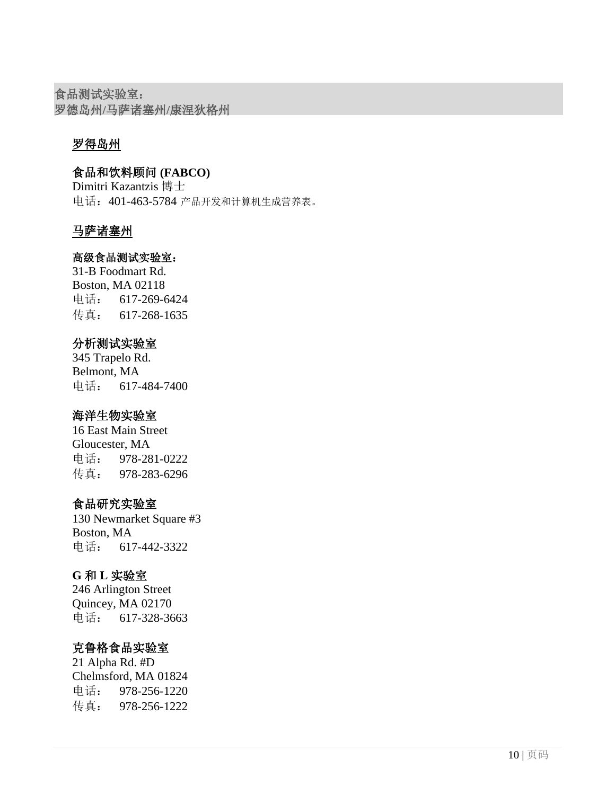食品测试实验室: 罗德岛州**/**马萨诸塞州**/**康涅狄格州

## 罗得岛州

食品和饮料顾问 **(FABCO)**

Dimitri Kazantzis 博士 电话:401-463-5784 产品开发和计算机生成营养表。

## 马萨诸塞州

#### 高级食品测试实验室:

31-B Foodmart Rd. Boston, MA 02118 电话: 617-269-6424 传真: 617-268-1635

### 分析测试实验室

345 Trapelo Rd. Belmont, MA 电话: 617-484-7400

### 海洋生物实验室

16 East Main Street Gloucester, MA 电话: 978-281-0222 传真: 978-283-6296

## 食品研究实验室

130 Newmarket Square #3 Boston, MA 电话: 617-442-3322

### **G** 和 **L** 实验室

246 Arlington Street Quincey, MA 02170 电话: 617-328-3663

## 克鲁格食品实验室

21 Alpha Rd. #D Chelmsford, MA 01824 电话: 978-256-1220 传真: 978-256-1222